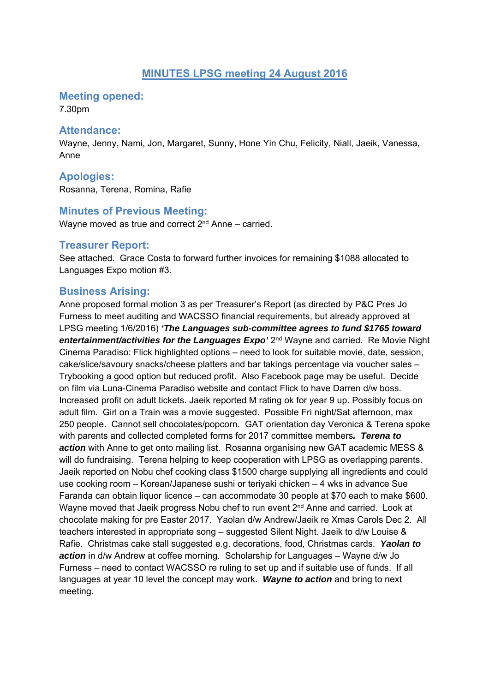### **MINUTES LPSG meeting 24 August 2016**

**Meeting opened:** 

7.30pm

#### **Attendance:**

Wayne, Jenny, Nami, Jon, Margaret, Sunny, Hone Yin Chu, Felicity, Niall, Jaeik, Vanessa, Anne

### **Apologies:**

Rosanna, Terena, Romina, Rafie

#### **Minutes of Previous Meeting:**

Wayne moved as true and correct  $2<sup>nd</sup>$  Anne – carried.

#### **Treasurer Report:**

See attached. Grace Costa to forward further invoices for remaining \$1088 allocated to Languages Expo motion #3.

### **Business Arising:**

Anne proposed formal motion 3 as per Treasurer's Report (as directed by P&C Pres Jo Furness to meet auditing and WACSSO financial requirements, but already approved at LPSG meeting 1/6/2016) *'The Languages sub-committee agrees to fund \$1765 toward entertainment/activities for the Languages Expo'* 2nd Wayne and carried. Re Movie Night Cinema Paradiso: Flick highlighted options – need to look for suitable movie, date, session, cake/slice/savoury snacks/cheese platters and bar takings percentage via voucher sales – Trybooking a good option but reduced profit. Also Facebook page may be useful. Decide on film via Luna-Cinema Paradiso website and contact Flick to have Darren d/w boss. Increased profit on adult tickets. Jaeik reported M rating ok for year 9 up. Possibly focus on adult film. Girl on a Train was a movie suggested. Possible Fri night/Sat afternoon, max 250 people. Cannot sell chocolates/popcorn. GAT orientation day Veronica & Terena spoke with parents and collected completed forms for 2017 committee members*. Terena to action* with Anne to get onto mailing list. Rosanna organising new GAT academic MESS & will do fundraising. Terena helping to keep cooperation with LPSG as overlapping parents. Jaeik reported on Nobu chef cooking class \$1500 charge supplying all ingredients and could use cooking room – Korean/Japanese sushi or teriyaki chicken – 4 wks in advance Sue Faranda can obtain liquor licence – can accommodate 30 people at \$70 each to make \$600. Wayne moved that Jaeik progress Nobu chef to run event 2<sup>nd</sup> Anne and carried. Look at chocolate making for pre Easter 2017. Yaolan d/w Andrew/Jaeik re Xmas Carols Dec 2. All teachers interested in appropriate song – suggested Silent Night. Jaeik to d/w Louise & Rafie. Christmas cake stall suggested e.g. decorations, food, Christmas cards. *Yaolan to action* in d/w Andrew at coffee morning. Scholarship for Languages – Wayne d/w Jo Furness – need to contact WACSSO re ruling to set up and if suitable use of funds. If all languages at year 10 level the concept may work. *Wayne to action* and bring to next meeting.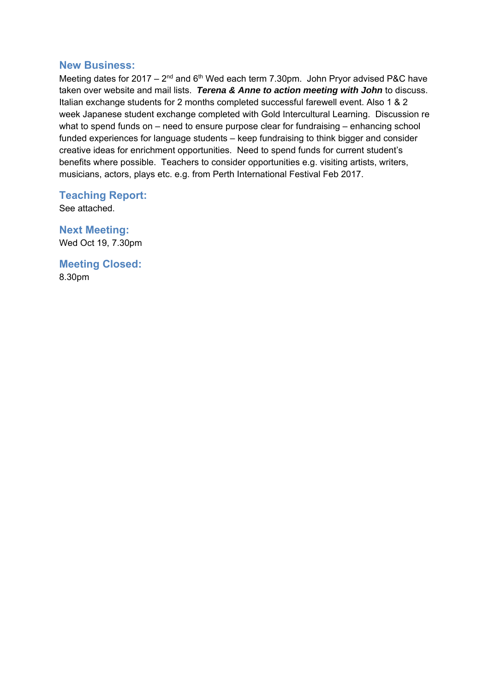#### **New Business:**

Meeting dates for 2017 –  $2^{nd}$  and  $6^{th}$  Wed each term 7.30pm. John Pryor advised P&C have taken over website and mail lists. *Terena & Anne to action meeting with John* to discuss. Italian exchange students for 2 months completed successful farewell event. Also 1 & 2 week Japanese student exchange completed with Gold Intercultural Learning. Discussion re what to spend funds on – need to ensure purpose clear for fundraising – enhancing school funded experiences for language students – keep fundraising to think bigger and consider creative ideas for enrichment opportunities. Need to spend funds for current student's benefits where possible. Teachers to consider opportunities e.g. visiting artists, writers, musicians, actors, plays etc. e.g. from Perth International Festival Feb 2017.

### **Teaching Report:**

See attached.

**Next Meeting:**  Wed Oct 19, 7.30pm

**Meeting Closed:**  8.30pm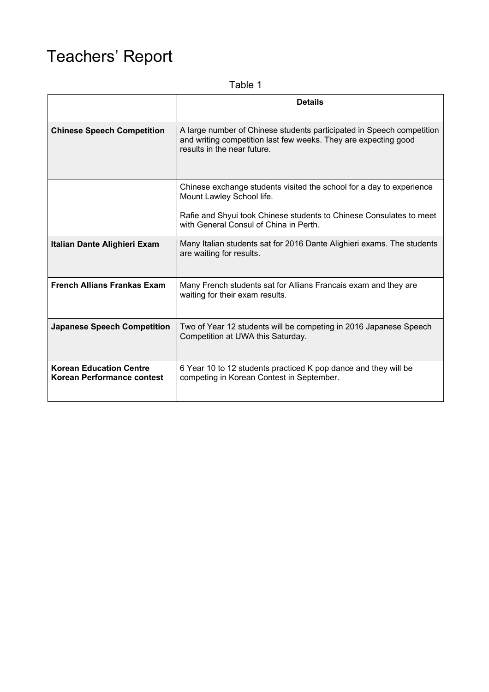# Teachers' Report

Table 1

|                                                              | <b>Details</b>                                                                                                                                                          |  |  |  |
|--------------------------------------------------------------|-------------------------------------------------------------------------------------------------------------------------------------------------------------------------|--|--|--|
| <b>Chinese Speech Competition</b>                            | A large number of Chinese students participated in Speech competition<br>and writing competition last few weeks. They are expecting good<br>results in the near future. |  |  |  |
|                                                              | Chinese exchange students visited the school for a day to experience<br>Mount Lawley School life.                                                                       |  |  |  |
|                                                              | Rafie and Shyui took Chinese students to Chinese Consulates to meet<br>with General Consul of China in Perth.                                                           |  |  |  |
| Italian Dante Alighieri Exam                                 | Many Italian students sat for 2016 Dante Alighieri exams. The students<br>are waiting for results.                                                                      |  |  |  |
| <b>French Allians Frankas Exam</b>                           | Many French students sat for Allians Francais exam and they are<br>waiting for their exam results.                                                                      |  |  |  |
| <b>Japanese Speech Competition</b>                           | Two of Year 12 students will be competing in 2016 Japanese Speech<br>Competition at UWA this Saturday.                                                                  |  |  |  |
| <b>Korean Education Centre</b><br>Korean Performance contest | 6 Year 10 to 12 students practiced K pop dance and they will be<br>competing in Korean Contest in September.                                                            |  |  |  |